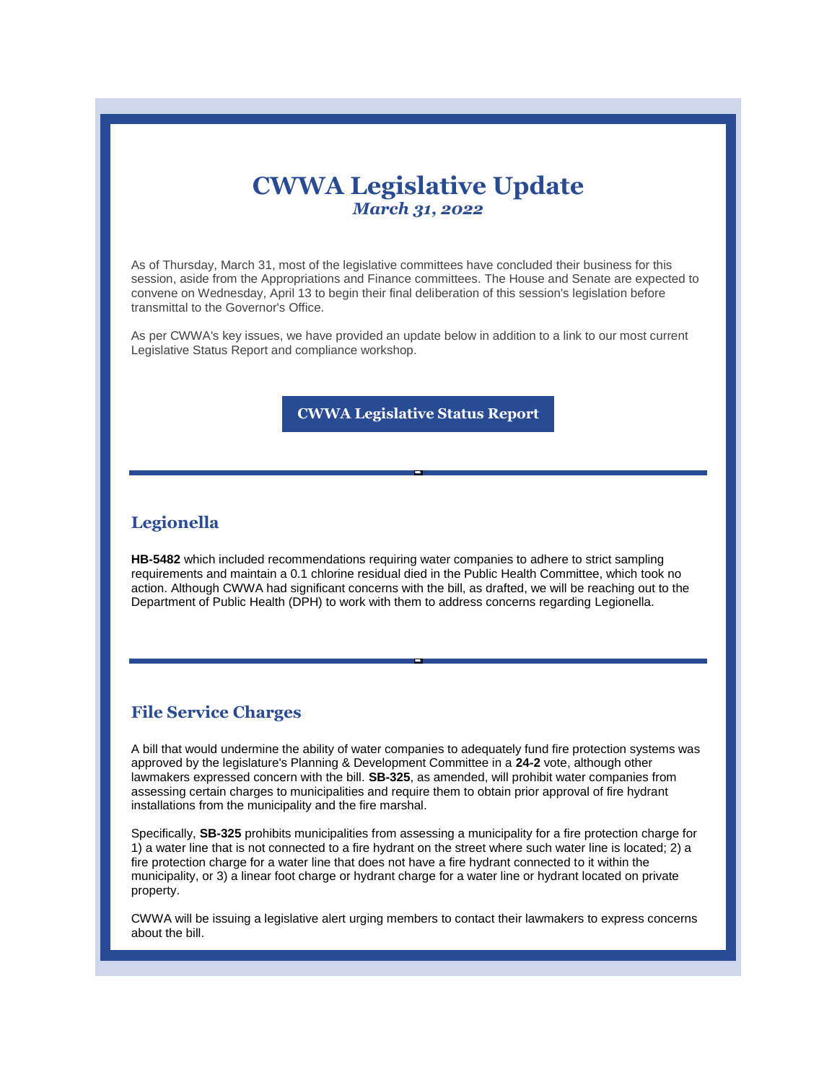# **CWWA Legislative Update** *March 31, 2022*

As of Thursday, March 31, most of the legislative committees have concluded their business for this session, aside from the Appropriations and Finance committees. The House and Senate are expected to convene on Wednesday, April 13 to begin their final deliberation of this session's legislation before transmittal to the Governor's Office.

As per CWWA's key issues, we have provided an update below in addition to a link to our most current Legislative Status Report and compliance workshop.

**[CWWA Legislative Status Report](https://r20.rs6.net/tn.jsp?f=001aiNeWI9cRWU29H9YPvkBwuc-Tg75pIdtwXGsbKiFwQNyNLwnGakiknOLSGQ9NKj6X7CtqQ1S4m1K_UtQimCfrB_yVo_Cz2QlrYVMqBFEsRnClpZzTqXm-d0KbhrBFBL9bME3h2bzbY2LTrds0AnRbxQkqWLEVGrcy1oM4bfct2IIDY-TEETkhBlKy8scY6WO65Y9Mo5ALP_9y3DfvbN522MUNxw-ugyf8Et0thoRRkHxpVe4x-wcmg==&c=2jBCSka5WMBssFv3J9wk5NJu_AATmjLLrlBS5PRDI-fiznOLZC9QRQ==&ch=Kk-7Is112VNa92ySBLJTr3dmO6YvopiINFZJdrWkfEN_aiflK4pyQg==)**

#### **Legionella**

**HB-5482** which included recommendations requiring water companies to adhere to strict sampling requirements and maintain a 0.1 chlorine residual died in the Public Health Committee, which took no action. Although CWWA had significant concerns with the bill, as drafted, we will be reaching out to the Department of Public Health (DPH) to work with them to address concerns regarding Legionella.

#### **File Service Charges**

A bill that would undermine the ability of water companies to adequately fund fire protection systems was approved by the legislature's Planning & Development Committee in a **24-2** vote, although other lawmakers expressed concern with the bill. **SB-325**, as amended, will prohibit water companies from assessing certain charges to municipalities and require them to obtain prior approval of fire hydrant installations from the municipality and the fire marshal.

Specifically, **SB-325** prohibits municipalities from assessing a municipality for a fire protection charge for 1) a water line that is not connected to a fire hydrant on the street where such water line is located; 2) a fire protection charge for a water line that does not have a fire hydrant connected to it within the municipality, or 3) a linear foot charge or hydrant charge for a water line or hydrant located on private property.

CWWA will be issuing a legislative alert urging members to contact their lawmakers to express concerns about the bill.